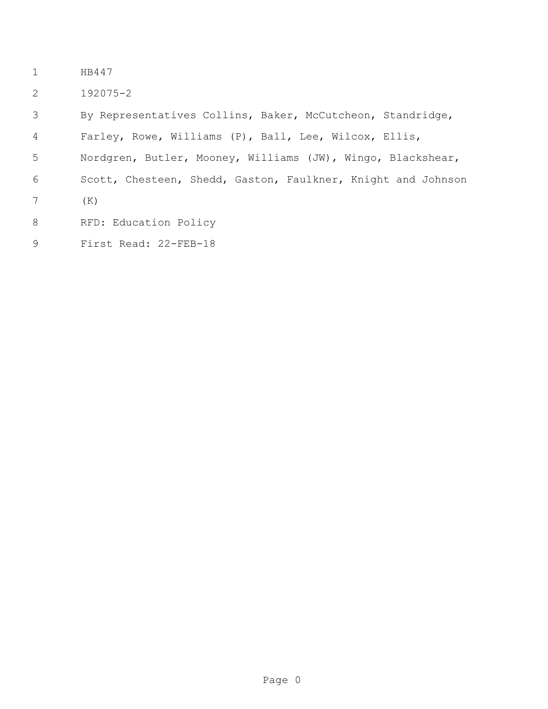- HB447
- 192075-2

 By Representatives Collins, Baker, McCutcheon, Standridge, Farley, Rowe, Williams (P), Ball, Lee, Wilcox, Ellis, Nordgren, Butler, Mooney, Williams (JW), Wingo, Blackshear, Scott, Chesteen, Shedd, Gaston, Faulkner, Knight and Johnson (K) 8 RFD: Education Policy First Read: 22-FEB-18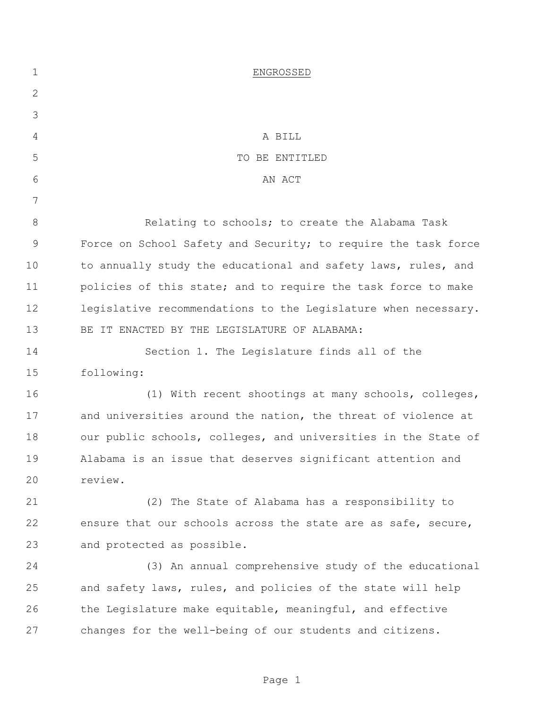| $\mathbf 1$  | ENGROSSED                                                      |
|--------------|----------------------------------------------------------------|
| $\mathbf{2}$ |                                                                |
| 3            |                                                                |
| 4            | A BILL                                                         |
| 5            | TO BE ENTITLED                                                 |
| 6            | AN ACT                                                         |
| 7            |                                                                |
| 8            | Relating to schools; to create the Alabama Task                |
| 9            | Force on School Safety and Security; to require the task force |
| 10           | to annually study the educational and safety laws, rules, and  |
| 11           | policies of this state; and to require the task force to make  |
| 12           | legislative recommendations to the Legislature when necessary. |
| 13           | BE IT ENACTED BY THE LEGISLATURE OF ALABAMA:                   |
| 14           | Section 1. The Legislature finds all of the                    |
| 15           | following:                                                     |
| 16           | (1) With recent shootings at many schools, colleges,           |
| 17           | and universities around the nation, the threat of violence at  |
| 18           | our public schools, colleges, and universities in the State of |
| 19           | Alabama is an issue that deserves significant attention and    |
| 20           | review.                                                        |
| 21           | (2) The State of Alabama has a responsibility to               |
| 22           | ensure that our schools across the state are as safe, secure,  |
| 23           | and protected as possible.                                     |
| 24           | (3) An annual comprehensive study of the educational           |
| 25           | and safety laws, rules, and policies of the state will help    |
| 26           | the Legislature make equitable, meaningful, and effective      |
| 27           | changes for the well-being of our students and citizens.       |
|              |                                                                |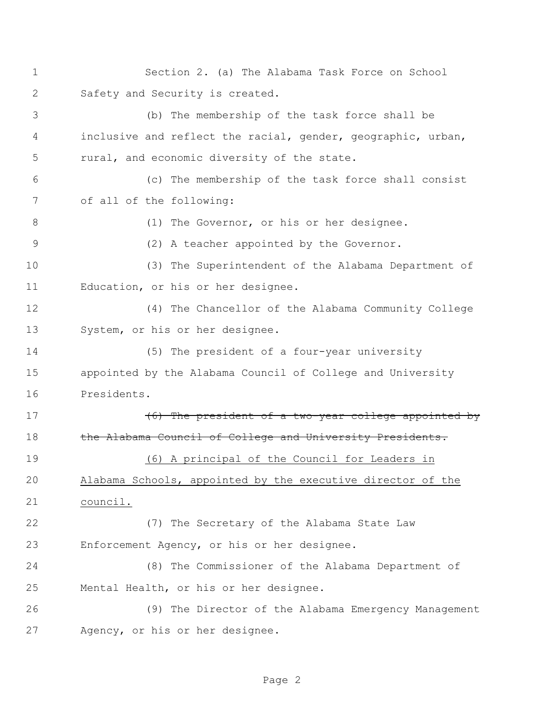Section 2. (a) The Alabama Task Force on School Safety and Security is created. (b) The membership of the task force shall be inclusive and reflect the racial, gender, geographic, urban, rural, and economic diversity of the state. (c) The membership of the task force shall consist of all of the following: 8 (1) The Governor, or his or her designee.

(2) A teacher appointed by the Governor.

 (3) The Superintendent of the Alabama Department of Education, or his or her designee.

 (4) The Chancellor of the Alabama Community College System, or his or her designee.

 (5) The president of a four-year university appointed by the Alabama Council of College and University Presidents.

17 (6) The president of a two-year college appointed by 18 the Alabama Council of College and University Presidents.

 (6) A principal of the Council for Leaders in Alabama Schools, appointed by the executive director of the council.

 (7) The Secretary of the Alabama State Law Enforcement Agency, or his or her designee.

 (8) The Commissioner of the Alabama Department of Mental Health, or his or her designee.

 (9) The Director of the Alabama Emergency Management Agency, or his or her designee.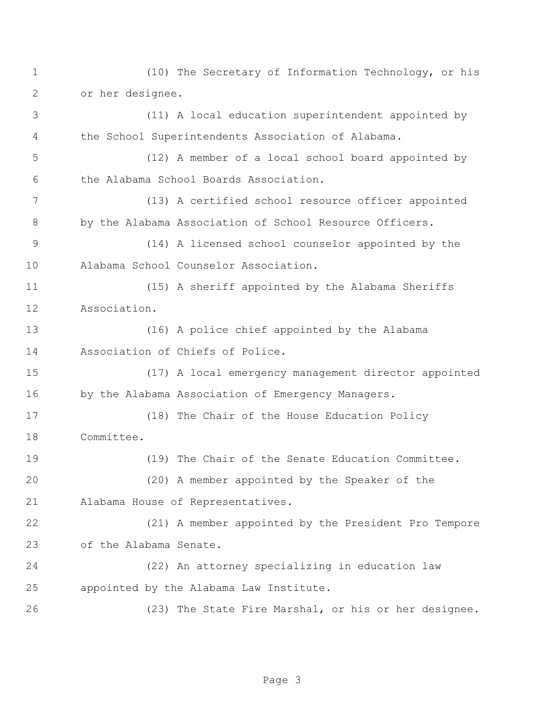(10) The Secretary of Information Technology, or his or her designee. (11) A local education superintendent appointed by the School Superintendents Association of Alabama. (12) A member of a local school board appointed by the Alabama School Boards Association. (13) A certified school resource officer appointed 8 by the Alabama Association of School Resource Officers. (14) A licensed school counselor appointed by the Alabama School Counselor Association. (15) A sheriff appointed by the Alabama Sheriffs Association. (16) A police chief appointed by the Alabama Association of Chiefs of Police. (17) A local emergency management director appointed by the Alabama Association of Emergency Managers. (18) The Chair of the House Education Policy Committee. (19) The Chair of the Senate Education Committee. (20) A member appointed by the Speaker of the Alabama House of Representatives. (21) A member appointed by the President Pro Tempore of the Alabama Senate. (22) An attorney specializing in education law appointed by the Alabama Law Institute. (23) The State Fire Marshal, or his or her designee.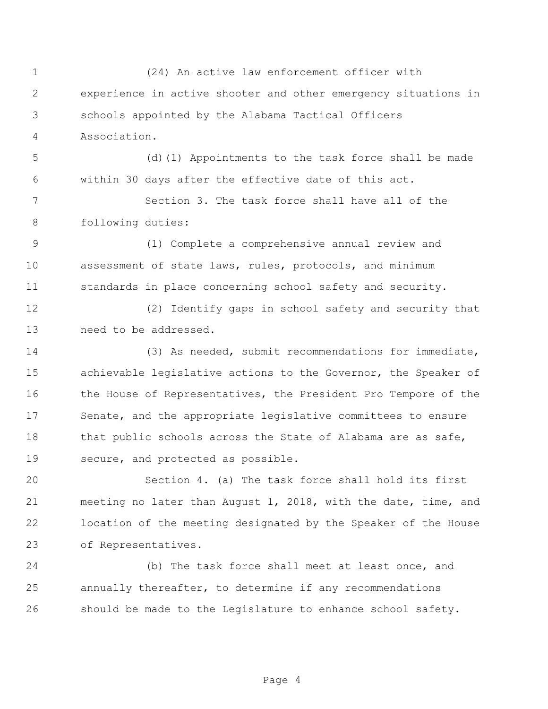(24) An active law enforcement officer with experience in active shooter and other emergency situations in schools appointed by the Alabama Tactical Officers Association. (d)(1) Appointments to the task force shall be made within 30 days after the effective date of this act. Section 3. The task force shall have all of the following duties: (1) Complete a comprehensive annual review and assessment of state laws, rules, protocols, and minimum standards in place concerning school safety and security. (2) Identify gaps in school safety and security that need to be addressed. (3) As needed, submit recommendations for immediate, achievable legislative actions to the Governor, the Speaker of 16 the House of Representatives, the President Pro Tempore of the Senate, and the appropriate legislative committees to ensure 18 that public schools across the State of Alabama are as safe, secure, and protected as possible. Section 4. (a) The task force shall hold its first meeting no later than August 1, 2018, with the date, time, and location of the meeting designated by the Speaker of the House of Representatives. (b) The task force shall meet at least once, and annually thereafter, to determine if any recommendations

should be made to the Legislature to enhance school safety.

Page 4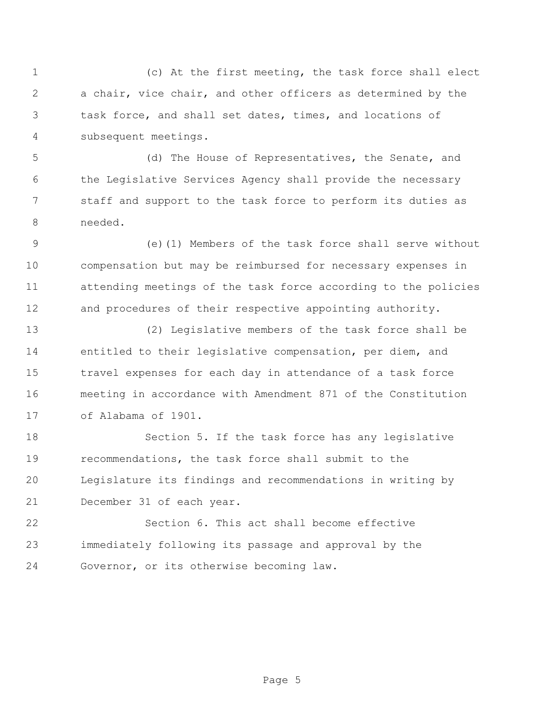(c) At the first meeting, the task force shall elect a chair, vice chair, and other officers as determined by the task force, and shall set dates, times, and locations of subsequent meetings.

 (d) The House of Representatives, the Senate, and the Legislative Services Agency shall provide the necessary staff and support to the task force to perform its duties as needed.

 (e)(1) Members of the task force shall serve without compensation but may be reimbursed for necessary expenses in attending meetings of the task force according to the policies and procedures of their respective appointing authority.

 (2) Legislative members of the task force shall be entitled to their legislative compensation, per diem, and travel expenses for each day in attendance of a task force meeting in accordance with Amendment 871 of the Constitution of Alabama of 1901.

 Section 5. If the task force has any legislative recommendations, the task force shall submit to the Legislature its findings and recommendations in writing by December 31 of each year.

 Section 6. This act shall become effective immediately following its passage and approval by the Governor, or its otherwise becoming law.

Page 5